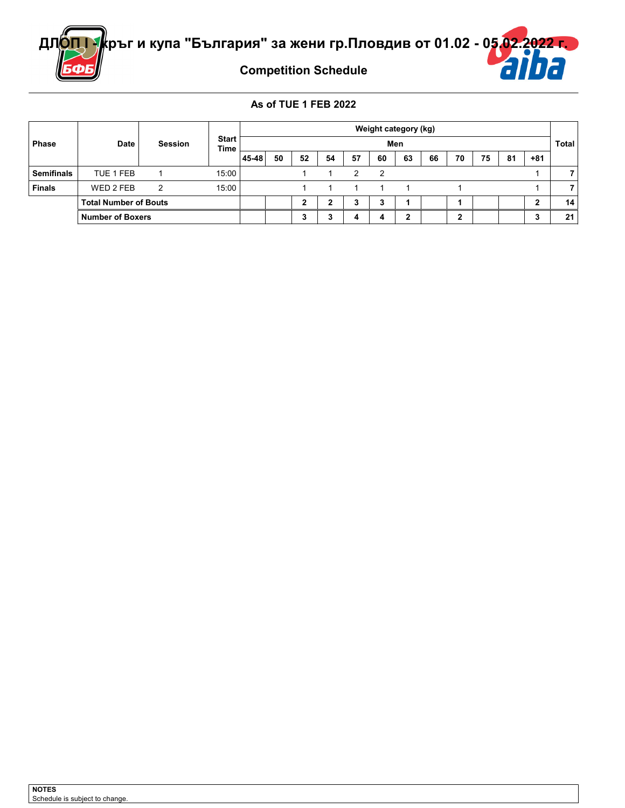

**Competition Schedule**

### **As of TUE 1 FEB 2022**

|                   |                              |                |                             | Weight category (kg) |     |    |    |    |        |    |    |    |              |    |       |    |
|-------------------|------------------------------|----------------|-----------------------------|----------------------|-----|----|----|----|--------|----|----|----|--------------|----|-------|----|
| <b>Phase</b>      | Date                         | <b>Session</b> | <b>Start</b><br><b>Time</b> |                      | Men |    |    |    |        |    |    |    | <b>Total</b> |    |       |    |
|                   |                              |                |                             | 45-48                | 50  | 52 | 54 | 57 | 60     | 63 | 66 | 70 | 75           | 81 | $+81$ |    |
| <b>Semifinals</b> | TUE 1 FEB                    |                | 15:00                       |                      |     |    |    | າ  | າ      |    |    |    |              |    |       |    |
| <b>Finals</b>     | WED 2 FEB                    | າ              | 15:00                       |                      |     |    |    |    |        |    |    |    |              |    |       |    |
|                   | <b>Total Number of Bouts</b> |                |                             |                      |     |    |    | 3  | ◠<br>a |    |    |    |              |    |       | 14 |
|                   | <b>Number of Boxers</b>      |                |                             |                      |     | ∽  |    | 4  | 4      | າ  |    | ,  |              |    |       | 21 |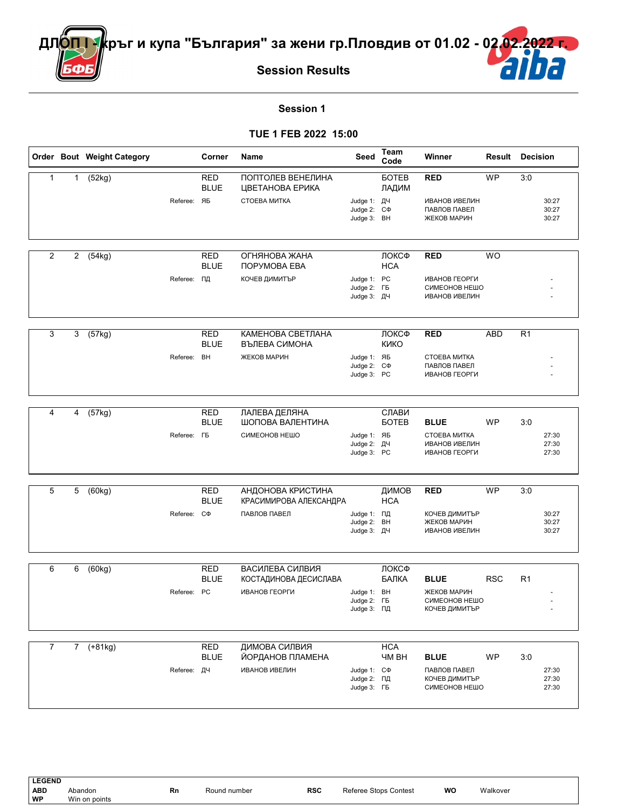

## **Session 1**

#### **TUE 1 FEB 2022 15:00**

|   |              | Order Bout Weight Category |                         | Corner                    | Name                                        | Seed                                            | Team<br>Code               | Winner                                                        | <b>Result Decision</b> |                |                         |
|---|--------------|----------------------------|-------------------------|---------------------------|---------------------------------------------|-------------------------------------------------|----------------------------|---------------------------------------------------------------|------------------------|----------------|-------------------------|
| 1 | $\mathbf{1}$ | (52kg)                     |                         | <b>RED</b><br><b>BLUE</b> | ПОПТОЛЕВ ВЕНЕЛИНА<br>ЦВЕТАНОВА ЕРИКА        |                                                 | <b>GOTEB</b><br>ЛАДИМ      | <b>RED</b>                                                    | <b>WP</b>              | 3:0            |                         |
|   |              |                            | Referee: ЯБ             |                           | CTOEBA MUTKA                                | Judge 1: ДЧ<br>Judge 2: C $\Phi$<br>Judge 3: BH |                            | ИВАНОВ ИВЕЛИН<br>ПАВЛОВ ПАВЕЛ<br>ЖЕКОВ МАРИН                  |                        |                | 30:27<br>30:27<br>30:27 |
| 2 | $\mathbf{2}$ | (54kg)                     |                         | <b>RED</b><br><b>BLUE</b> | ОГНЯНОВА ЖАНА<br>ПОРУМОВА ЕВА               |                                                 | ЛОКСФ<br><b>HCA</b>        | <b>RED</b>                                                    | <b>WO</b>              |                |                         |
|   |              |                            | Referee: ПД             |                           | КОЧЕВ ДИМИТЪР                               | Judge 1: PC<br>Judge 2: FB<br>Judge 3: ДЧ       |                            | ИВАНОВ ГЕОРГИ<br>СИМЕОНОВ НЕШО<br><b>ИВАНОВ ИВЕЛИН</b>        |                        |                |                         |
| 3 | 3            | (57kg)                     |                         | RED<br><b>BLUE</b>        | КАМЕНОВА СВЕТЛАНА<br>ВЪЛЕВА СИМОНА          |                                                 | ЛОКСФ<br><b>KNKO</b>       | <b>RED</b>                                                    | <b>ABD</b>             | R <sub>1</sub> |                         |
|   |              |                            | Referee: BH             |                           | ЖЕКОВ МАРИН                                 | Judge 1: ЯБ<br>Judge 2: C $\Phi$<br>Judge 3: PC |                            | CTOEBA MUTKA<br>ПАВЛОВ ПАВЕЛ<br>ИВАНОВ ГЕОРГИ                 |                        |                |                         |
| 4 | 4            | (57kg)                     |                         | <b>RED</b>                | ЛАЛЕВА ДЕЛЯНА                               |                                                 | СЛАВИ                      |                                                               |                        |                |                         |
|   |              |                            | Referee: F <sub>B</sub> | <b>BLUE</b>               | ШОПОВА ВАЛЕНТИНА<br>СИМЕОНОВ НЕШО           | Judge 1: ЯБ<br>Judge 2: ДЧ<br>Judge 3: PC       | <b>GOTEB</b>               | <b>BLUE</b><br>CTOEBA MUTKA<br>ИВАНОВ ИВЕЛИН<br>ИВАНОВ ГЕОРГИ | <b>WP</b>              | 3:0            | 27:30<br>27:30<br>27:30 |
| 5 | 5            | (60kg)                     |                         | <b>RED</b><br><b>BLUE</b> | АНДОНОВА КРИСТИНА<br>КРАСИМИРОВА АЛЕКСАНДРА |                                                 | ДИМОВ<br><b>HCA</b>        | <b>RED</b>                                                    | <b>WP</b>              | 3:0            |                         |
|   |              |                            | Referee: C $\Phi$       |                           | ПАВЛОВ ПАВЕЛ                                | Judge 1: ПД<br>Judge 2: BH<br>Judge 3: ДЧ       |                            | КОЧЕВ ДИМИТЪР<br>ЖЕКОВ МАРИН<br><b>ИВАНОВ ИВЕЛИН</b>          |                        |                | 30:27<br>30:27<br>30:27 |
| 6 | 6            | (60kg)                     |                         | <b>RED</b>                | ВАСИЛЕВА СИЛВИЯ                             |                                                 | ЛОКСФ                      |                                                               |                        |                |                         |
|   |              |                            | Referee: PC             | <b>BLUE</b>               | КОСТАДИНОВА ДЕСИСЛАВА<br>ИВАНОВ ГЕОРГИ      | Judge 1: BH<br>Judge 2: FB<br>Judge 3: ПД       | БАЛКА                      | <b>BLUE</b><br>ЖЕКОВ МАРИН<br>СИМЕОНОВ НЕШО<br>КОЧЕВ ДИМИТЪР  | <b>RSC</b>             | R <sub>1</sub> |                         |
| 7 |              | 7 (+81kg)                  |                         | <b>RED</b><br><b>BLUE</b> | ДИМОВА СИЛВИЯ<br>ЙОРДАНОВ ПЛАМЕНА           |                                                 | <b>HCA</b><br><b>YM BH</b> | <b>BLUE</b>                                                   | <b>WP</b>              | 3:0            |                         |
|   |              |                            | Referee: ДЧ             |                           | <b>ИВАНОВ ИВЕЛИН</b>                        | Judge 1: C $\Phi$<br>Judge 2: ПД<br>Judge 3: FB |                            | ПАВЛОВ ПАВЕЛ<br>КОЧЕВ ДИМИТЪР<br>СИМЕОНОВ НЕШО                |                        |                | 27:30<br>27:30<br>27:30 |

**LEGEND**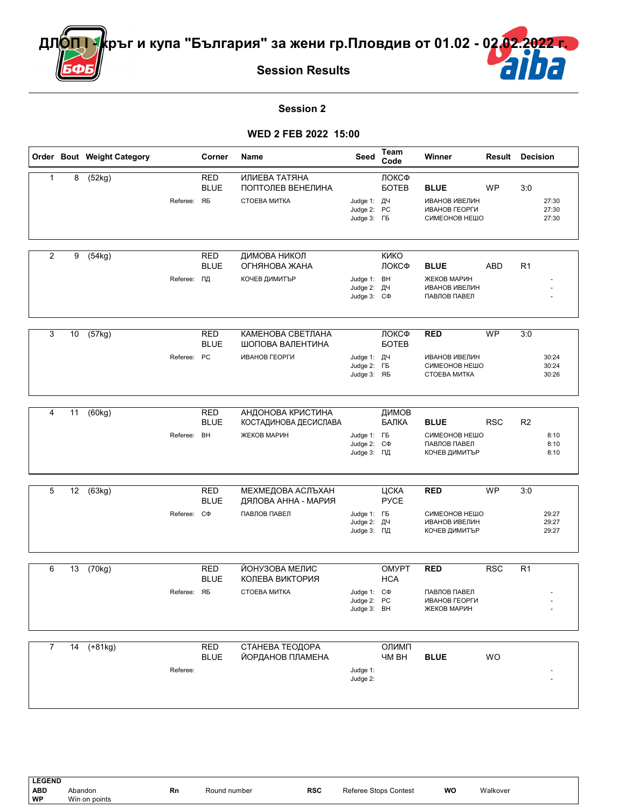

## **Session 2**

#### **WED 2 FEB 2022 15:00**

|                |    | Order Bout Weight Category |                   | Corner                    | Name                                     | Seed                                            | <b>Team</b><br>Code        | Winner                                                 | <b>Result Decision</b> |                |                         |
|----------------|----|----------------------------|-------------------|---------------------------|------------------------------------------|-------------------------------------------------|----------------------------|--------------------------------------------------------|------------------------|----------------|-------------------------|
| $\mathbf{1}$   | 8  | (52kg)                     |                   | <b>RED</b><br><b>BLUE</b> | ИЛИЕВА ТАТЯНА<br>ПОПТОЛЕВ ВЕНЕЛИНА       |                                                 | ЛОКСФ<br><b>GOTEB</b>      | <b>BLUE</b>                                            | WP                     | 3:0            |                         |
|                |    |                            | Referee: ЯБ       |                           | СТОЕВА МИТКА                             | Judge 1: ДЧ<br>Judge 2: PC<br>Judge 3: FB       |                            | <b>ИВАНОВ ИВЕЛИН</b><br>ИВАНОВ ГЕОРГИ<br>СИМЕОНОВ НЕШО |                        |                | 27:30<br>27:30<br>27:30 |
| $\overline{2}$ | 9  | (54kg)                     |                   | <b>RED</b><br><b>BLUE</b> | ДИМОВА НИКОЛ<br>ОГНЯНОВА ЖАНА            |                                                 | <b>KNKO</b><br>ЛОКСФ       | <b>BLUE</b>                                            | ABD                    | R <sub>1</sub> |                         |
|                |    |                            | Referee: ПД       |                           | КОЧЕВ ДИМИТЪР                            | Judge 1: BH<br>Judge 2: ДЧ<br>Judge 3: C $\Phi$ |                            | ЖЕКОВ МАРИН<br><b>ИВАНОВ ИВЕЛИН</b><br>ПАВЛОВ ПАВЕЛ    |                        |                |                         |
| 3              | 10 | (57kg)                     |                   | <b>RED</b><br><b>BLUE</b> | КАМЕНОВА СВЕТЛАНА<br>ШОПОВА ВАЛЕНТИНА    |                                                 | ЛОКСФ<br><b>GOTEB</b>      | <b>RED</b>                                             | <b>WP</b>              | 3:0            |                         |
|                |    |                            | Referee: PC       |                           | ИВАНОВ ГЕОРГИ                            | Judge 1: ДЧ<br>Judge 2: FB<br>Judge 3: ЯБ       |                            | <b>ИВАНОВ ИВЕЛИН</b><br>СИМЕОНОВ НЕШО<br>CTOEBA MUTKA  |                        |                | 30:24<br>30:24<br>30:26 |
| 4              | 11 | (60kg)                     |                   | <b>RED</b>                | АНДОНОВА КРИСТИНА                        |                                                 | ДИМОВ                      |                                                        |                        |                |                         |
|                |    |                            | Referee:          | <b>BLUE</b><br>BH         | КОСТАДИНОВА ДЕСИСЛАВА<br>ЖЕКОВ МАРИН     | Judge 1: FB                                     | БАЛКА                      | <b>BLUE</b><br>СИМЕОНОВ НЕШО                           | <b>RSC</b>             | R <sub>2</sub> | 8:10                    |
|                |    |                            |                   |                           |                                          | Judge 2: C $\Phi$<br>Judge 3: ПД                |                            | ПАВЛОВ ПАВЕЛ<br>КОЧЕВ ДИМИТЪР                          |                        |                | 8:10<br>8:10            |
| 5              | 12 | (63kg)                     |                   | <b>RED</b><br><b>BLUE</b> | МЕХМЕДОВА АСЛЪХАН<br>ДЯЛОВА АННА - МАРИЯ |                                                 | ЦСКА<br><b>PYCE</b>        | <b>RED</b>                                             | <b>WP</b>              | 3:0            |                         |
|                |    |                            | Referee: C $\Phi$ |                           | ПАВЛОВ ПАВЕЛ                             | Judge 1: FB<br>Judge 2: ДЧ<br>Judge 3: ПД       |                            | СИМЕОНОВ НЕШО<br><b>ИВАНОВ ИВЕЛИН</b><br>КОЧЕВ ДИМИТЪР |                        |                | 29:27<br>29:27<br>29:27 |
| 6              | 13 | (70kg)                     |                   | <b>RED</b><br><b>BLUE</b> | ЙОНУЗОВА МЕЛИС<br>КОЛЕВА ВИКТОРИЯ        |                                                 | <b>OMYPT</b><br><b>HCA</b> | <b>RED</b>                                             | <b>RSC</b>             | R <sub>1</sub> |                         |
|                |    |                            | Referee: ЯБ       |                           | CTOEBA MUTKA                             | Judge 1: C $\Phi$<br>Judge 2: PC<br>Judge 3: BH |                            | ПАВЛОВ ПАВЕЛ<br>ИВАНОВ ГЕОРГИ<br>ЖЕКОВ МАРИН           |                        |                |                         |
| $\overline{7}$ |    | $14$ $(+81kg)$             |                   | <b>RED</b><br><b>BLUE</b> | СТАНЕВА ТЕОДОРА<br>ЙОРДАНОВ ПЛАМЕНА      |                                                 | ОЛИМП<br><b>YM BH</b>      | <b>BLUE</b>                                            |                        |                |                         |
|                |    |                            | Referee:          |                           |                                          | Judge 1:<br>Judge 2:                            |                            |                                                        | WO                     |                |                         |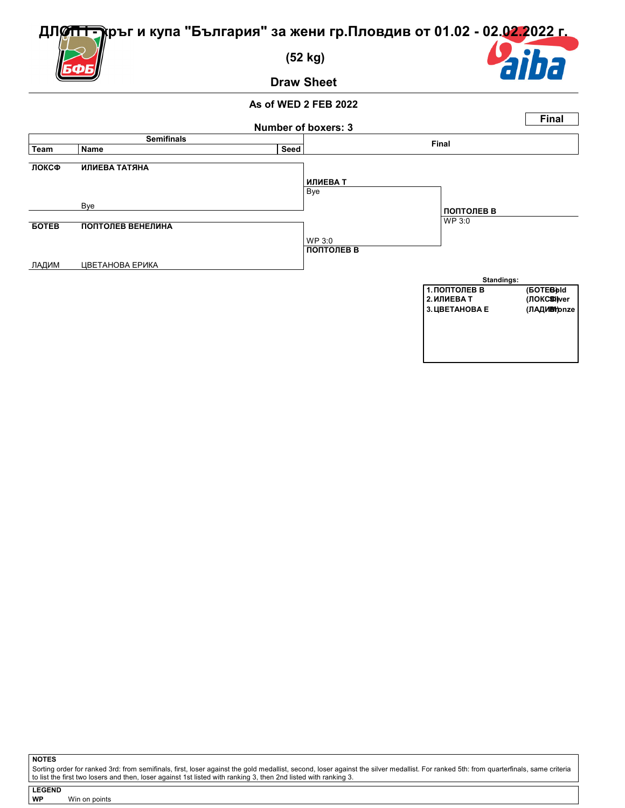**(52 kg)**

**Draw Sheet**



#### **As of WED 2 FEB 2022**



**NOTES**

Sorting order for ranked 3rd: from semifinals, first, loser against the gold medallist, second, loser against the silver medallist. For ranked 5th: from quarterfinals, same criteria<br>to list the first two losers and then, l

**LEGEND WP** Win on points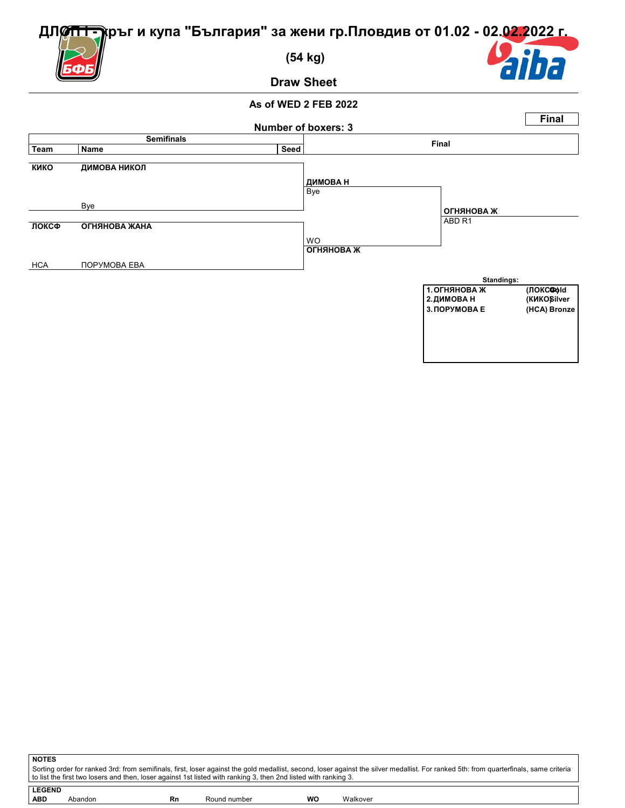**(54 kg)**

**Draw Sheet**



#### **As of WED 2 FEB 2022**



| <b>NOTES</b>                                                                                                                                                                                                                                                                                             |    |              |    |          |  |  |  |  |
|----------------------------------------------------------------------------------------------------------------------------------------------------------------------------------------------------------------------------------------------------------------------------------------------------------|----|--------------|----|----------|--|--|--|--|
| Sorting order for ranked 3rd: from semifinals, first, loser against the gold medallist, second, loser against the silver medallist. For ranked 5th: from quarterfinals, same criteria<br>to list the first two losers and then, loser against 1st listed with ranking 3, then 2nd listed with ranking 3. |    |              |    |          |  |  |  |  |
|                                                                                                                                                                                                                                                                                                          |    |              |    |          |  |  |  |  |
| <b>LEGEND</b>                                                                                                                                                                                                                                                                                            |    |              |    |          |  |  |  |  |
| <b>ABD</b><br>Abandon                                                                                                                                                                                                                                                                                    | Rn | Round number | wo | Walkover |  |  |  |  |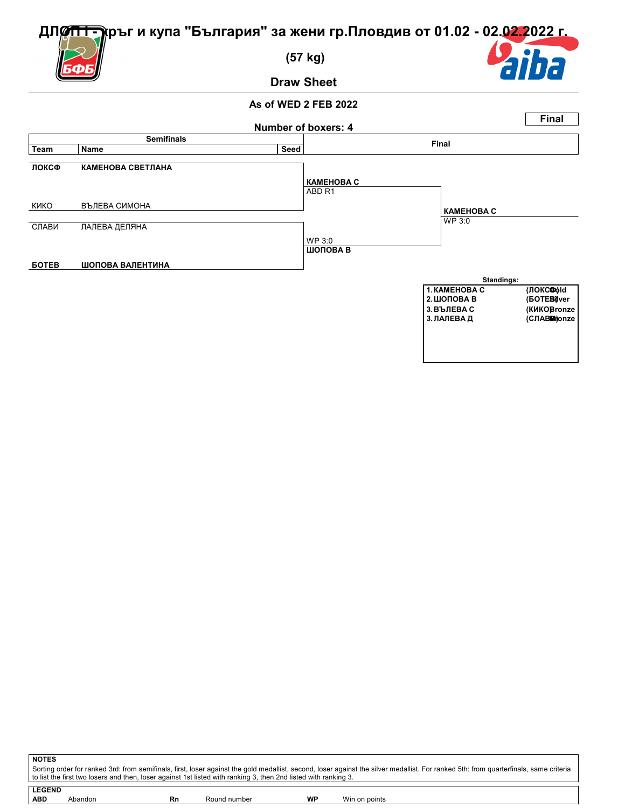**(57 kg)**

**Draw Sheet**

ba



**NOTES** Sorting order for ranked 3rd: from semifinals, first, loser against the gold medallist, second, loser against the silver medallist. For ranked 5th: from quarterfinals, same criteria to list the first two losers and then, loser against 1st listed with ranking 3, then 2nd listed with ranking 3. **LEGEND ABD** Abandon **Rn** Round number **WP** Win on points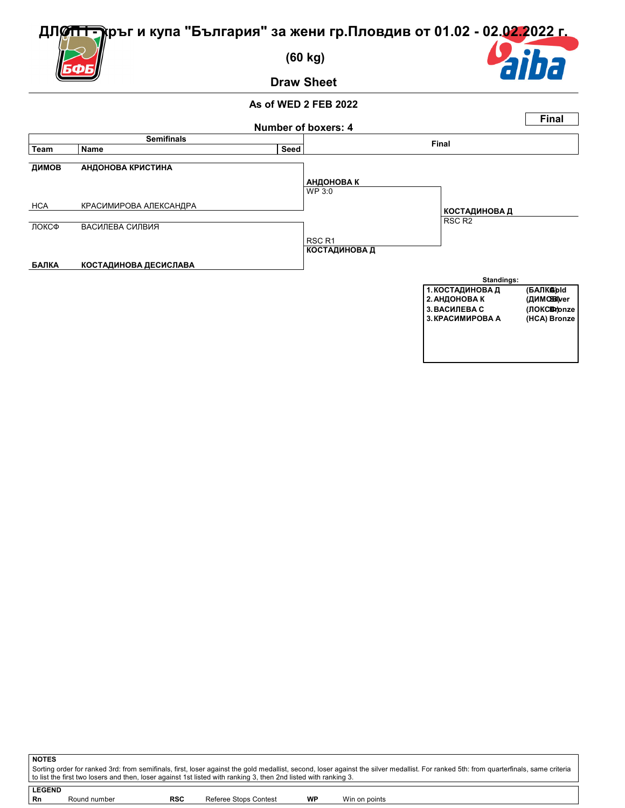**(60 kg)**

**Draw Sheet**

# ba

#### **As of WED 2 FEB 2022**



| Sorting order for ranked 3rd: from semifinals, first, loser against the gold medallist, second, loser against the silver medallist. For ranked 5th: from quarterfinals, same criteria |
|---------------------------------------------------------------------------------------------------------------------------------------------------------------------------------------|
| to list the first two losers and then, loser against 1st listed with ranking 3, then 2nd listed with ranking 3.                                                                       |
|                                                                                                                                                                                       |
| LEGEND                                                                                                                                                                                |

| l Rn | Round number | RSC | Referee Stops Contest | WP | Win on points |
|------|--------------|-----|-----------------------|----|---------------|
|------|--------------|-----|-----------------------|----|---------------|

**NOTES**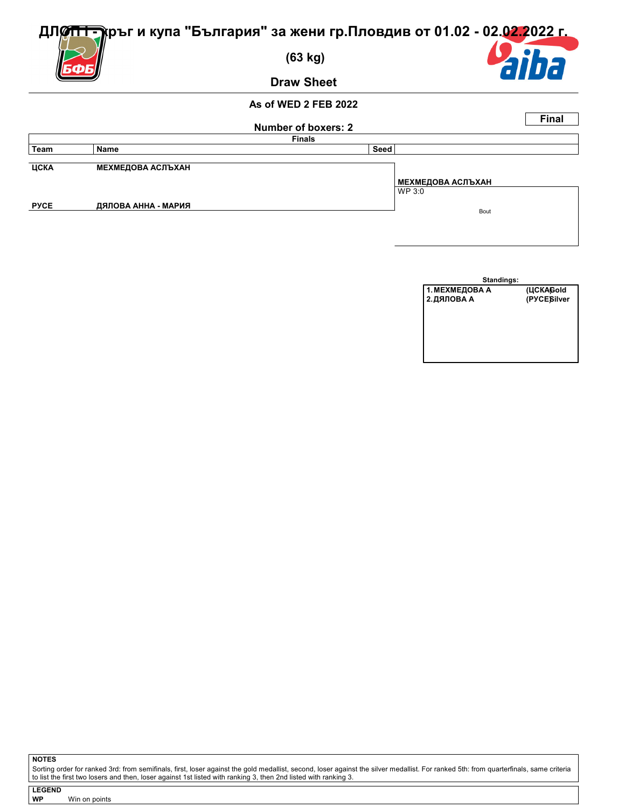

**Draw Sheet**

#### **As of WED 2 FEB 2022**

| Number of boxers: 2<br><b>Finals</b> |                          |      |                             |  |  |  |  |
|--------------------------------------|--------------------------|------|-----------------------------|--|--|--|--|
| Team                                 | Name                     | Seed |                             |  |  |  |  |
| ЦСКА                                 | <b>МЕХМЕДОВА АСЛЪХАН</b> |      |                             |  |  |  |  |
|                                      |                          |      | МЕХМЕДОВА АСЛЪХАН<br>WP 3:0 |  |  |  |  |
| <b>PYCE</b>                          | ДЯЛОВА АННА - МАРИЯ      |      | Bout                        |  |  |  |  |
|                                      |                          |      |                             |  |  |  |  |

| <b>Standings:</b> |             |
|-------------------|-------------|
| 1. МЕХМЕДОВА А    | (ЦСКАGold   |
| 2. ДЯЛОВА А       | (PYCESilver |
|                   |             |
|                   |             |
|                   |             |
|                   |             |
|                   |             |
|                   |             |

**NOTES**

Sorting order for ranked 3rd: from semifinals, first, loser against the gold medallist, second, loser against the silver medallist. For ranked 5th: from quarterfinals, same criteria<br>to list the first two losers and then, l

**LEGEND** Win on points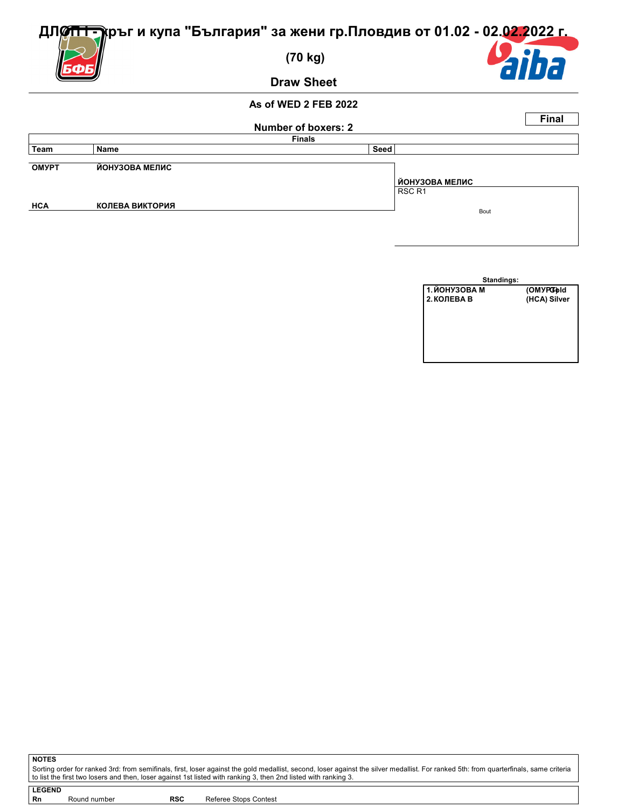

**Draw Sheet**

#### **As of WED 2 FEB 2022**

|              |                        |                     |                       | <b>Final</b> |
|--------------|------------------------|---------------------|-----------------------|--------------|
|              |                        | Number of boxers: 2 |                       |              |
|              |                        | <b>Finals</b>       |                       |              |
| Team         | Name                   | Seed                |                       |              |
|              |                        |                     |                       |              |
| <b>OMYPT</b> | ЙОНУЗОВА МЕЛИС         |                     |                       |              |
|              |                        |                     | <b>ЙОНУЗОВА МЕЛИС</b> |              |
|              |                        |                     | RSC <sub>R1</sub>     |              |
| <b>HCA</b>   | <b>КОЛЕВА ВИКТОРИЯ</b> |                     |                       |              |
|              |                        |                     | Bout                  |              |
|              |                        |                     |                       |              |
|              |                        |                     |                       |              |

| Standings:    |              |
|---------------|--------------|
| 1. ЙОНУЗОВА М | (OMYPGold    |
| 2. КОЛЕВА В   | (HCA) Silver |
|               |              |
|               |              |
|               |              |
|               |              |
|               |              |
|               |              |

Sorting order for ranked 3rd: from semifinals, first, loser against the gold medallist, second, loser against the silver medallist. For ranked 5th: from quarterfinals, same criteria<br>to list the first two losers and then, l

**NOTES**